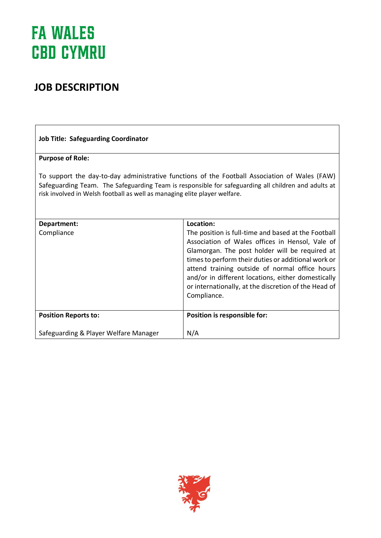## **JOB DESCRIPTION**

| <b>Job Title: Safeguarding Coordinator</b>                                                                                                                                                                                                                                        |                                                                                                                                                                                                                                                                                                                                                                                                |
|-----------------------------------------------------------------------------------------------------------------------------------------------------------------------------------------------------------------------------------------------------------------------------------|------------------------------------------------------------------------------------------------------------------------------------------------------------------------------------------------------------------------------------------------------------------------------------------------------------------------------------------------------------------------------------------------|
| <b>Purpose of Role:</b>                                                                                                                                                                                                                                                           |                                                                                                                                                                                                                                                                                                                                                                                                |
| To support the day-to-day administrative functions of the Football Association of Wales (FAW)<br>Safeguarding Team. The Safeguarding Team is responsible for safeguarding all children and adults at<br>risk involved in Welsh football as well as managing elite player welfare. |                                                                                                                                                                                                                                                                                                                                                                                                |
| Department:                                                                                                                                                                                                                                                                       | Location:                                                                                                                                                                                                                                                                                                                                                                                      |
| Compliance                                                                                                                                                                                                                                                                        | The position is full-time and based at the Football<br>Association of Wales offices in Hensol, Vale of<br>Glamorgan. The post holder will be required at<br>times to perform their duties or additional work or<br>attend training outside of normal office hours<br>and/or in different locations, either domestically<br>or internationally, at the discretion of the Head of<br>Compliance. |
| <b>Position Reports to:</b>                                                                                                                                                                                                                                                       | Position is responsible for:                                                                                                                                                                                                                                                                                                                                                                   |
| Safeguarding & Player Welfare Manager                                                                                                                                                                                                                                             | N/A                                                                                                                                                                                                                                                                                                                                                                                            |

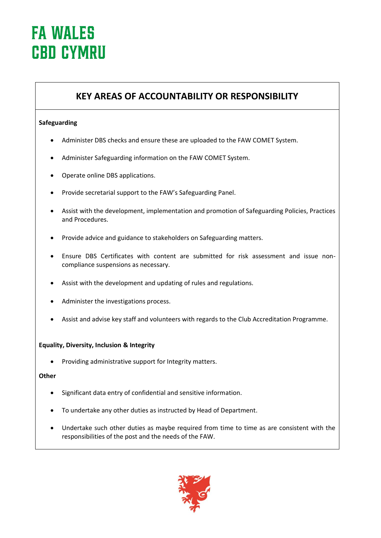### **KEY AREAS OF ACCOUNTABILITY OR RESPONSIBILITY**

### **Safeguarding**

- Administer DBS checks and ensure these are uploaded to the FAW COMET System.
- Administer Safeguarding information on the FAW COMET System.
- Operate online DBS applications.
- Provide secretarial support to the FAW's Safeguarding Panel.
- Assist with the development, implementation and promotion of Safeguarding Policies, Practices and Procedures.
- Provide advice and guidance to stakeholders on Safeguarding matters.
- Ensure DBS Certificates with content are submitted for risk assessment and issue noncompliance suspensions as necessary.
- Assist with the development and updating of rules and regulations.
- Administer the investigations process.
- Assist and advise key staff and volunteers with regards to the Club Accreditation Programme.

#### **Equality, Diversity, Inclusion & Integrity**

• Providing administrative support for Integrity matters.

#### **Other**

- Significant data entry of confidential and sensitive information.
- To undertake any other duties as instructed by Head of Department.
- Undertake such other duties as maybe required from time to time as are consistent with the responsibilities of the post and the needs of the FAW.

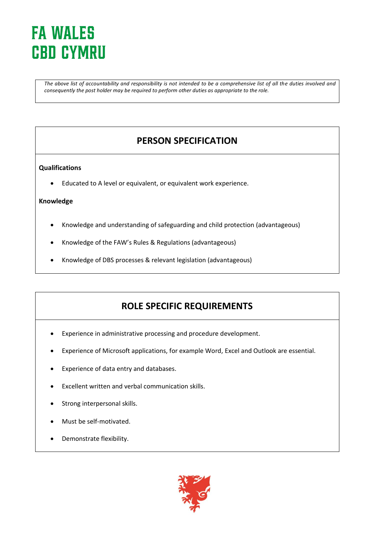*The above list of accountability and responsibility is not intended to be a comprehensive list of all the duties involved and consequently the post holder may be required to perform other duties as appropriate to the role.* 

## **PERSON SPECIFICATION**

### **Qualifications**

• Educated to A level or equivalent, or equivalent work experience.

#### **Knowledge**

- Knowledge and understanding of safeguarding and child protection (advantageous)
- Knowledge of the FAW's Rules & Regulations (advantageous)
- Knowledge of DBS processes & relevant legislation (advantageous)

### **ROLE SPECIFIC REQUIREMENTS**

- Experience in administrative processing and procedure development.
- Experience of Microsoft applications, for example Word, Excel and Outlook are essential.
- Experience of data entry and databases.
- Excellent written and verbal communication skills.
- Strong interpersonal skills.
- Must be self-motivated.
- Demonstrate flexibility.